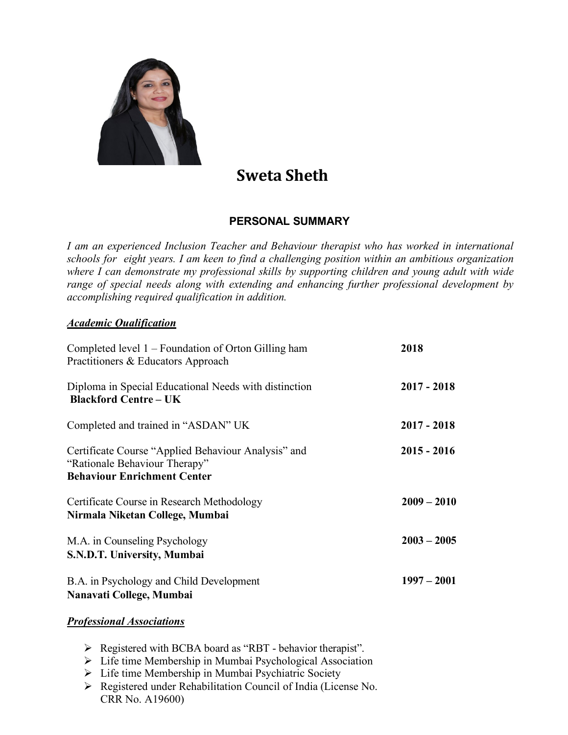

# **Sweta Sheth**

## **PERSONAL SUMMARY**

*I am an experienced Inclusion Teacher and Behaviour therapist who has worked in international schools for eight years. I am keen to find a challenging position within an ambitious organization where I can demonstrate my professional skills by supporting children and young adult with wide range of special needs along with extending and enhancing further professional development by accomplishing required qualification in addition.*

### *Academic Qualification*

| Completed level 1 – Foundation of Orton Gilling ham<br>Practitioners & Educators Approach                                  | 2018          |
|----------------------------------------------------------------------------------------------------------------------------|---------------|
| Diploma in Special Educational Needs with distinction<br><b>Blackford Centre – UK</b>                                      | $2017 - 2018$ |
| Completed and trained in "ASDAN" UK                                                                                        | $2017 - 2018$ |
| Certificate Course "Applied Behaviour Analysis" and<br>"Rationale Behaviour Therapy"<br><b>Behaviour Enrichment Center</b> | $2015 - 2016$ |
| Certificate Course in Research Methodology<br>Nirmala Niketan College, Mumbai                                              | $2009 - 2010$ |
| M.A. in Counseling Psychology<br>S.N.D.T. University, Mumbai                                                               | $2003 - 2005$ |
| B.A. in Psychology and Child Development<br>Nanavati College, Mumbai                                                       | $1997 - 2001$ |

#### *Professional Associations*

- $\triangleright$  Registered with BCBA board as "RBT behavior therapist".
- $\triangleright$  Life time Membership in Mumbai Psychological Association
- Ø Life time Membership in Mumbai Psychiatric Society
- Ø Registered under Rehabilitation Council of India (License No. CRR No. A19600)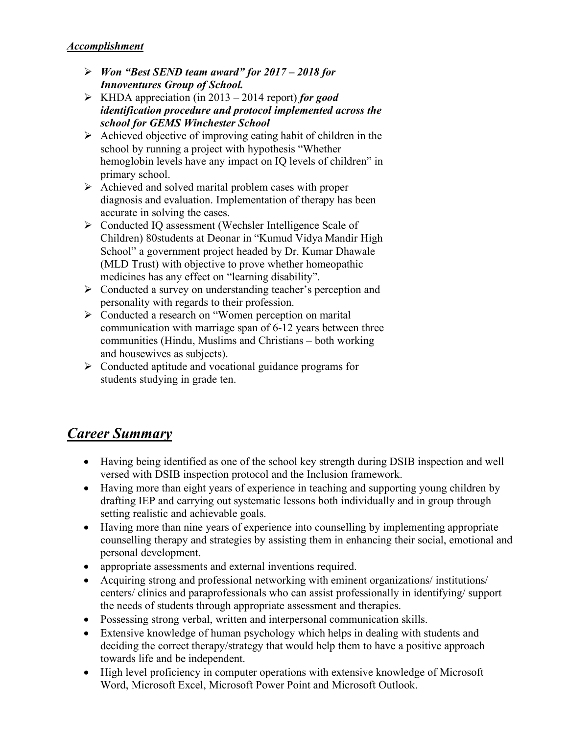- Ø *Won "Best SEND team award" for 2017 – 2018 for Innoventures Group of School.*
- Ø KHDA appreciation (in 2013 2014 report) *for good identification procedure and protocol implemented across the school for GEMS Winchester School*
- $\triangleright$  Achieved objective of improving eating habit of children in the school by running a project with hypothesis "Whether hemoglobin levels have any impact on IQ levels of children" in primary school.
- $\triangleright$  Achieved and solved marital problem cases with proper diagnosis and evaluation. Implementation of therapy has been accurate in solving the cases.
- Ø Conducted IQ assessment (Wechsler Intelligence Scale of Children) 80students at Deonar in "Kumud Vidya Mandir High School" a government project headed by Dr. Kumar Dhawale (MLD Trust) with objective to prove whether homeopathic medicines has any effect on "learning disability".
- $\triangleright$  Conducted a survey on understanding teacher's perception and personality with regards to their profession.
- Ø Conducted a research on "Women perception on marital communication with marriage span of 6-12 years between three communities (Hindu, Muslims and Christians – both working and housewives as subjects).
- $\triangleright$  Conducted aptitude and vocational guidance programs for students studying in grade ten.

# *Career Summary*

- Having being identified as one of the school key strength during DSIB inspection and well versed with DSIB inspection protocol and the Inclusion framework.
- Having more than eight years of experience in teaching and supporting young children by drafting IEP and carrying out systematic lessons both individually and in group through setting realistic and achievable goals.
- Having more than nine years of experience into counselling by implementing appropriate counselling therapy and strategies by assisting them in enhancing their social, emotional and personal development.
- appropriate assessments and external inventions required.
- Acquiring strong and professional networking with eminent organizations/ institutions/ centers/ clinics and paraprofessionals who can assist professionally in identifying/ support the needs of students through appropriate assessment and therapies.
- Possessing strong verbal, written and interpersonal communication skills.
- Extensive knowledge of human psychology which helps in dealing with students and deciding the correct therapy/strategy that would help them to have a positive approach towards life and be independent.
- High level proficiency in computer operations with extensive knowledge of Microsoft Word, Microsoft Excel, Microsoft Power Point and Microsoft Outlook.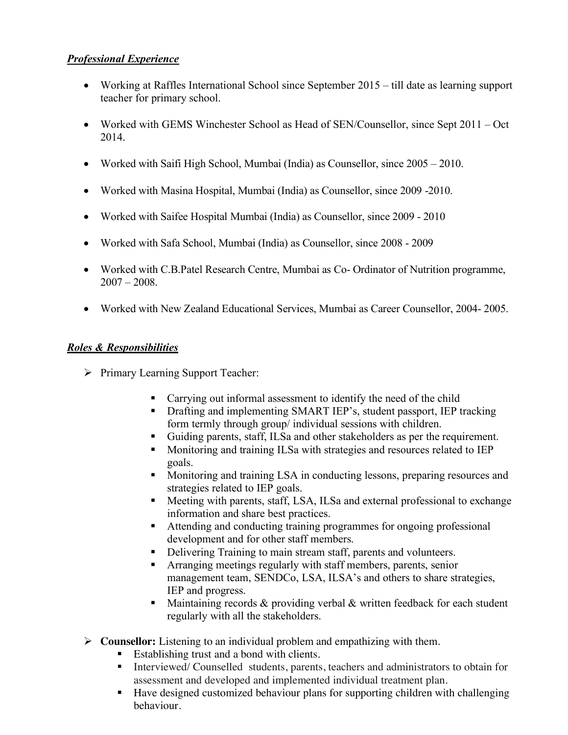### *Professional Experience*

- Working at Raffles International School since September 2015 till date as learning support teacher for primary school.
- Worked with GEMS Winchester School as Head of SEN/Counsellor, since Sept 2011 Oct 2014.
- Worked with Saifi High School, Mumbai (India) as Counsellor, since 2005 2010.
- Worked with Masina Hospital, Mumbai (India) as Counsellor, since 2009 -2010.
- Worked with Saifee Hospital Mumbai (India) as Counsellor, since 2009 2010
- Worked with Safa School, Mumbai (India) as Counsellor, since 2008 2009
- Worked with C.B.Patel Research Centre, Mumbai as Co- Ordinator of Nutrition programme,  $2007 - 2008$
- Worked with New Zealand Educational Services, Mumbai as Career Counsellor, 2004- 2005.

### *Roles & Responsibilities*

- $\triangleright$  Primary Learning Support Teacher:
	- Carrying out informal assessment to identify the need of the child
	- Drafting and implementing SMART IEP's, student passport, IEP tracking form termly through group/ individual sessions with children.
	- § Guiding parents, staff, ILSa and other stakeholders as per the requirement.
	- Monitoring and training ILSa with strategies and resources related to IEP goals.
	- Monitoring and training LSA in conducting lessons, preparing resources and strategies related to IEP goals.
	- Meeting with parents, staff, LSA, ILSa and external professional to exchange information and share best practices.
	- Attending and conducting training programmes for ongoing professional development and for other staff members.
	- Delivering Training to main stream staff, parents and volunteers.
	- § Arranging meetings regularly with staff members, parents, senior management team, SENDCo, LSA, ILSA's and others to share strategies, IEP and progress.
	- Maintaining records  $&$  providing verbal  $&$  written feedback for each student regularly with all the stakeholders.
- Ø **Counsellor:** Listening to an individual problem and empathizing with them.
	- Establishing trust and a bond with clients.
	- Interviewed/ Counselled students, parents, teachers and administrators to obtain for assessment and developed and implemented individual treatment plan.
	- Have designed customized behaviour plans for supporting children with challenging behaviour.